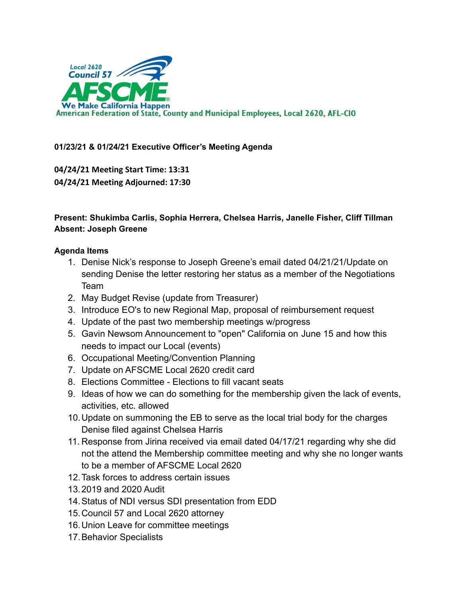

# **01/23/21 & 01/24/21 Executive Officer's Meeting Agenda**

**04/24/21 Meeting Start Time: 13:31 04/24/21 Meeting Adjourned: 17:30**

# **Present: Shukimba Carlis, Sophia Herrera, Chelsea Harris, Janelle Fisher, Cliff Tillman Absent: Joseph Greene**

### **Agenda Items**

- 1. Denise Nick's response to Joseph Greene's email dated 04/21/21/Update on sending Denise the letter restoring her status as a member of the Negotiations Team
- 2. May Budget Revise (update from Treasurer)
- 3. Introduce EO's to new Regional Map, proposal of reimbursement request
- 4. Update of the past two membership meetings w/progress
- 5. Gavin Newsom Announcement to "open" California on June 15 and how this needs to impact our Local (events)
- 6. Occupational Meeting/Convention Planning
- 7. Update on AFSCME Local 2620 credit card
- 8. Elections Committee Elections to fill vacant seats
- 9. Ideas of how we can do something for the membership given the lack of events, activities, etc. allowed
- 10.Update on summoning the EB to serve as the local trial body for the charges Denise filed against Chelsea Harris
- 11. Response from Jirina received via email dated 04/17/21 regarding why she did not the attend the Membership committee meeting and why she no longer wants to be a member of AFSCME Local 2620
- 12.Task forces to address certain issues
- 13.2019 and 2020 Audit
- 14.Status of NDI versus SDI presentation from EDD
- 15.Council 57 and Local 2620 attorney
- 16.Union Leave for committee meetings
- 17.Behavior Specialists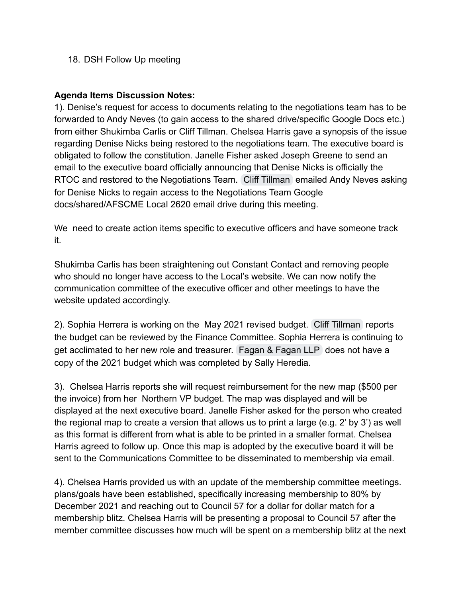### 18. DSH Follow Up meeting

## **Agenda Items Discussion Notes:**

1). Denise's request for access to documents relating to the negotiations team has to be forwarded to Andy Neves (to gain access to the shared drive/specific Google Docs etc.) from either Shukimba Carlis or Cliff Tillman. Chelsea Harris gave a synopsis of the issue regarding Denise Nicks being restored to the negotiations team. The executive board is obligated to follow the constitution. Janelle Fisher asked Joseph Greene to send an email to the executive board officially announcing that Denise Nicks is officially the RTOC and restored to the Negotiations Team. [Cliff Tillman](mailto:cliff.tillman@ca.afscme57.org) emailed Andy Neves asking for Denise Nicks to regain access to the Negotiations Team Google docs/shared/AFSCME Local 2620 email drive during this meeting.

We need to create action items specific to executive officers and have someone track it.

Shukimba Carlis has been straightening out Constant Contact and removing people who should no longer have access to the Local's website. We can now notify the communication committee of the executive officer and other meetings to have the website updated accordingly.

2). Sophia Herrera is working on the May 2021 revised budget. [Cliff Tillman](mailto:cliff.tillman@ca.afscme57.org) reports the budget can be reviewed by the Finance Committee. Sophia Herrera is continuing to get acclimated to her new role and treasurer. [Fagan & Fagan LLP](mailto:support@faganfagan.com) does not have a copy of the 2021 budget which was completed by Sally Heredia.

3). Chelsea Harris reports she will request reimbursement for the new map (\$500 per the invoice) from her Northern VP budget. The map was displayed and will be displayed at the next executive board. Janelle Fisher asked for the person who created the regional map to create a version that allows us to print a large (e.g. 2' by 3') as well as this format is different from what is able to be printed in a smaller format. Chelsea Harris agreed to follow up. Once this map is adopted by the executive board it will be sent to the Communications Committee to be disseminated to membership via email.

4). Chelsea Harris provided us with an update of the membership committee meetings. plans/goals have been established, specifically increasing membership to 80% by December 2021 and reaching out to Council 57 for a dollar for dollar match for a membership blitz. Chelsea Harris will be presenting a proposal to Council 57 after the member committee discusses how much will be spent on a membership blitz at the next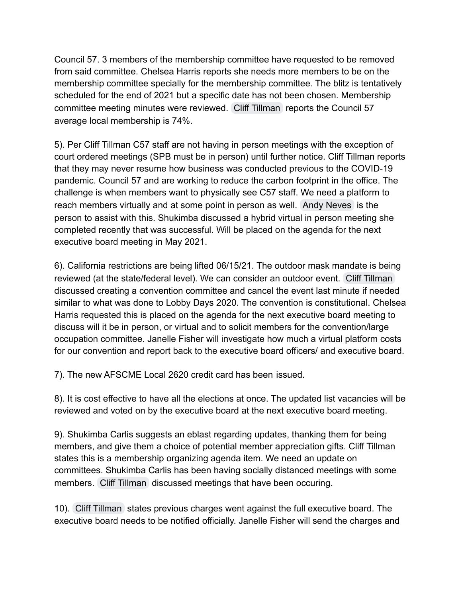Council 57. 3 members of the membership committee have requested to be removed from said committee. Chelsea Harris reports she needs more members to be on the membership committee specially for the membership committee. The blitz is tentatively scheduled for the end of 2021 but a specific date has not been chosen. Membership committee meeting minutes were reviewed. [Cliff Tillman](mailto:cliff.tillman@ca.afscme57.org) reports the Council 57 average local membership is 74%.

5). Per Cliff Tillman C57 staff are not having in person meetings with the exception of court ordered meetings (SPB must be in person) until further notice. Cliff Tillman reports that they may never resume how business was conducted previous to the COVID-19 pandemic. Council 57 and are working to reduce the carbon footprint in the office. The challenge is when members want to physically see C57 staff. We need a platform to reach members virtually and at some point in person as well. [Andy Neves](mailto:andy.neves@ca.afscme57.org) is the person to assist with this. Shukimba discussed a hybrid virtual in person meeting she completed recently that was successful. Will be placed on the agenda for the next executive board meeting in May 2021.

6). California restrictions are being lifted 06/15/21. The outdoor mask mandate is being reviewed (at the state/federal level). We can consider an outdoor event. [Cliff Tillman](mailto:cliff.tillman@ca.afscme57.org) discussed creating a convention committee and cancel the event last minute if needed similar to what was done to Lobby Days 2020. The convention is constitutional. Chelsea Harris requested this is placed on the agenda for the next executive board meeting to discuss will it be in person, or virtual and to solicit members for the convention/large occupation committee. Janelle Fisher will investigate how much a virtual platform costs for our convention and report back to the executive board officers/ and executive board.

7). The new AFSCME Local 2620 credit card has been issued.

8). It is cost effective to have all the elections at once. The updated list vacancies will be reviewed and voted on by the executive board at the next executive board meeting.

9). Shukimba Carlis suggests an eblast regarding updates, thanking them for being members, and give them a choice of potential member appreciation gifts. Cliff Tillman states this is a membership organizing agenda item. We need an update on committees. Shukimba Carlis has been having socially distanced meetings with some members. [Cliff Tillman](mailto:cliff.tillman@ca.afscme57.org) discussed meetings that have been occuring.

10). [Cliff Tillman](mailto:cliff.tillman@ca.afscme57.org) states previous charges went against the full executive board. The executive board needs to be notified officially. Janelle Fisher will send the charges and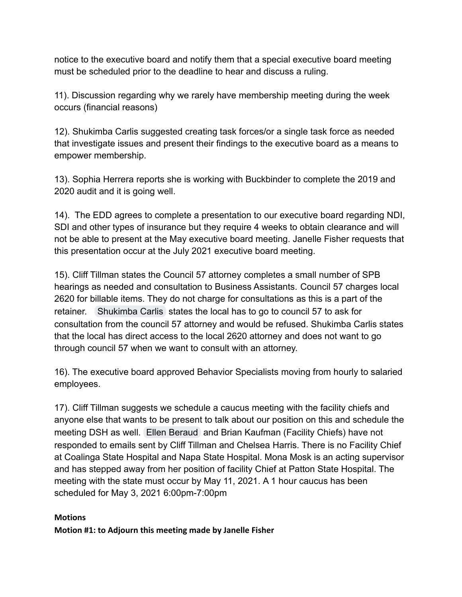notice to the executive board and notify them that a special executive board meeting must be scheduled prior to the deadline to hear and discuss a ruling.

11). Discussion regarding why we rarely have membership meeting during the week occurs (financial reasons)

12). Shukimba Carlis suggested creating task forces/or a single task force as needed that investigate issues and present their findings to the executive board as a means to empower membership.

13). Sophia Herrera reports she is working with Buckbinder to complete the 2019 and 2020 audit and it is going well.

14). The EDD agrees to complete a presentation to our executive board regarding NDI, SDI and other types of insurance but they require 4 weeks to obtain clearance and will not be able to present at the May executive board meeting. Janelle Fisher requests that this presentation occur at the July 2021 executive board meeting.

15). Cliff Tillman states the Council 57 attorney completes a small number of SPB hearings as needed and consultation to Business Assistants. Council 57 charges local 2620 for billable items. They do not charge for consultations as this is a part of the retainer. [Shukimba Carlis](mailto:president@afscmelocal2620.org) states the local has to go to council 57 to ask for consultation from the council 57 attorney and would be refused. Shukimba Carlis states that the local has direct access to the local 2620 attorney and does not want to go through council 57 when we want to consult with an attorney.

16). The executive board approved Behavior Specialists moving from hourly to salaried employees.

17). Cliff Tillman suggests we schedule a caucus meeting with the facility chiefs and anyone else that wants to be present to talk about our position on this and schedule the meeting DSH as well. [Ellen Beraud](mailto:ellen.beraud@afscmelocal2620.org) and Brian Kaufman (Facility Chiefs) have not responded to emails sent by Cliff Tillman and Chelsea Harris. There is no Facility Chief at Coalinga State Hospital and Napa State Hospital. Mona Mosk is an acting supervisor and has stepped away from her position of facility Chief at Patton State Hospital. The meeting with the state must occur by May 11, 2021. A 1 hour caucus has been scheduled for May 3, 2021 6:00pm-7:00pm

### **Motions**

**Motion #1: to Adjourn this meeting made by Janelle Fisher**